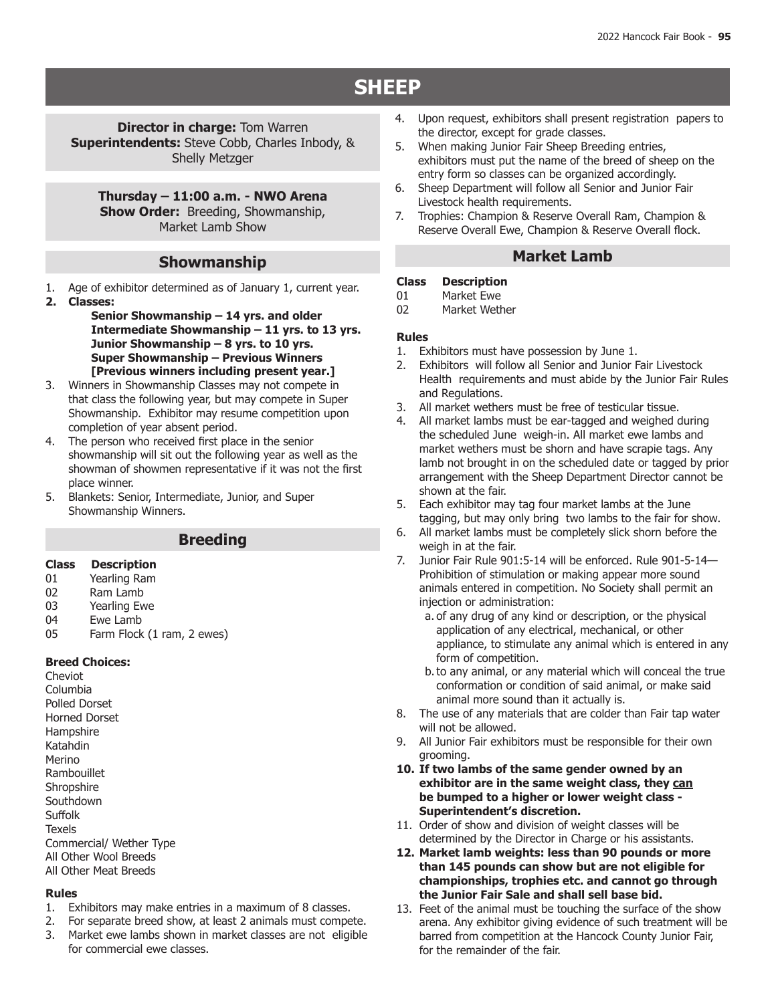# **SHEEP**

**Director in charge: Tom Warren Superintendents:** Steve Cobb, Charles Inbody, & Shelly Metzger

**Thursday – 11:00 a.m. - NWO Arena Show Order: Breeding, Showmanship,** Market Lamb Show

## **Showmanship**

- 1. Age of exhibitor determined as of January 1, current year.
- **2. Classes:**

**Senior Showmanship – 14 yrs. and older Intermediate Showmanship – 11 yrs. to 13 yrs. Junior Showmanship – 8 yrs. to 10 yrs. Super Showmanship – Previous Winners [Previous winners including present year.]**

- 3. Winners in Showmanship Classes may not compete in that class the following year, but may compete in Super Showmanship. Exhibitor may resume competition upon completion of year absent period.
- 4. The person who received first place in the senior showmanship will sit out the following year as well as the showman of showmen representative if it was not the first place winner.
- 5. Blankets: Senior, Intermediate, Junior, and Super Showmanship Winners.

### **Breeding**

# **Class Description**

- 01 Yearling Ram<br>02 Ram Lamb
- 02 Ram Lamb<br>03 Yearling Ew
- 03 Yearling Ewe<br>04 Fwe Lamb
- 04 Ewe Lamb<br>05 Farm Flock
- Farm Flock (1 ram, 2 ewes)

### **Breed Choices:**

Cheviot Columbia Polled Dorset Horned Dorset Hampshire Katahdin Merino Rambouillet **Shropshire Southdown** Suffolk **Texels** Commercial/ Wether Type All Other Wool Breeds All Other Meat Breeds

### **Rules**

- 1. Exhibitors may make entries in a maximum of 8 classes.
- 2. For separate breed show, at least 2 animals must compete.
- 3. Market ewe lambs shown in market classes are not eligible for commercial ewe classes.
- 4. Upon request, exhibitors shall present registration papers to the director, except for grade classes.
- 5. When making Junior Fair Sheep Breeding entries, exhibitors must put the name of the breed of sheep on the entry form so classes can be organized accordingly.
- 6. Sheep Department will follow all Senior and Junior Fair Livestock health requirements.
- 7. Trophies: Champion & Reserve Overall Ram, Champion & Reserve Overall Ewe, Champion & Reserve Overall flock.

### **Market Lamb**

## **Class Description**

- 01 Market Ewe<br>02 Market Weth
- Market Wether

### **Rules**

- 1. Exhibitors must have possession by June 1.
- 2. Exhibitors will follow all Senior and Junior Fair Livestock Health requirements and must abide by the Junior Fair Rules and Regulations.
- 3. All market wethers must be free of testicular tissue.
- 4. All market lambs must be ear-tagged and weighed during the scheduled June weigh-in. All market ewe lambs and market wethers must be shorn and have scrapie tags. Any lamb not brought in on the scheduled date or tagged by prior arrangement with the Sheep Department Director cannot be shown at the fair.
- 5. Each exhibitor may tag four market lambs at the June tagging, but may only bring two lambs to the fair for show.
- 6. All market lambs must be completely slick shorn before the weigh in at the fair.
- 7. Junior Fair Rule 901:5-14 will be enforced. Rule 901-5-14— Prohibition of stimulation or making appear more sound animals entered in competition. No Society shall permit an injection or administration:
	- a. of any drug of any kind or description, or the physical application of any electrical, mechanical, or other appliance, to stimulate any animal which is entered in any form of competition.
	- b.to any animal, or any material which will conceal the true conformation or condition of said animal, or make said animal more sound than it actually is.
- 8. The use of any materials that are colder than Fair tap water will not be allowed.
- 9. All Junior Fair exhibitors must be responsible for their own grooming.
- **10. If two lambs of the same gender owned by an exhibitor are in the same weight class, they can be bumped to a higher or lower weight class - Superintendent's discretion.**
- 11. Order of show and division of weight classes will be determined by the Director in Charge or his assistants.
- **12. Market lamb weights: less than 90 pounds or more than 145 pounds can show but are not eligible for championships, trophies etc. and cannot go through the Junior Fair Sale and shall sell base bid.**
- 13. Feet of the animal must be touching the surface of the show arena. Any exhibitor giving evidence of such treatment will be barred from competition at the Hancock County Junior Fair, for the remainder of the fair.